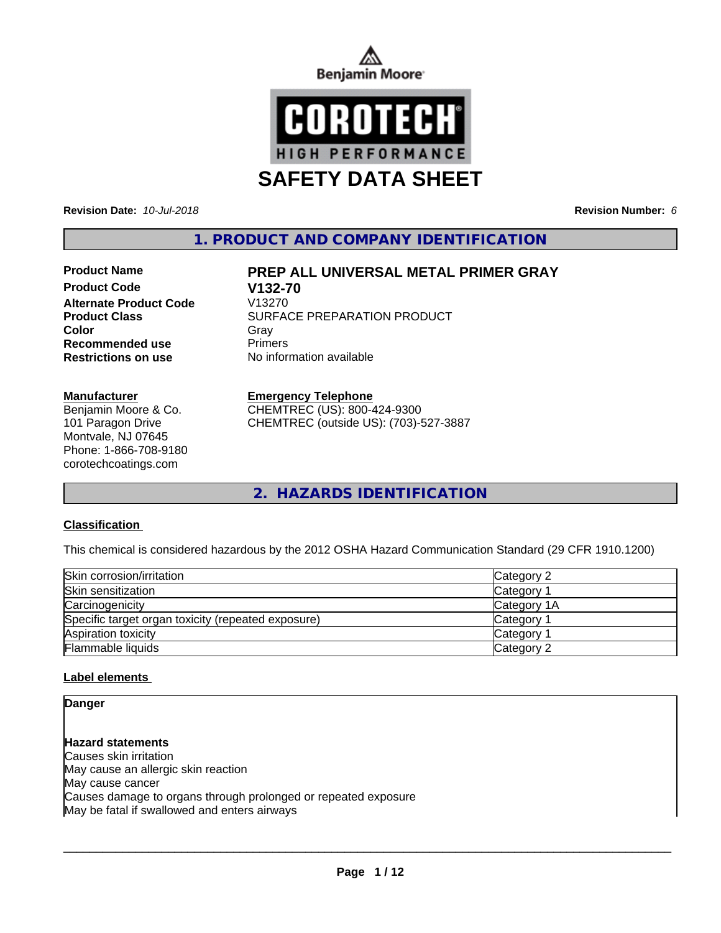



**Revision Date:** *10-Jul-2018* **Revision Number:** *6*

**1. PRODUCT AND COMPANY IDENTIFICATION**

# **Product Code V132-70 Alternate Product Code Recommended use** Primers

### **Manufacturer**

Benjamin Moore & Co. 101 Paragon Drive Montvale, NJ 07645 Phone: 1-866-708-9180 corotechcoatings.com

# **Product Name PREP ALL UNIVERSAL METAL PRIMER GRAY**

**Product Class SURFACE PREPARATION PRODUCT Color** Gray Gray **Restrictions on use** No information available

#### **Emergency Telephone**

CHEMTREC (US): 800-424-9300 CHEMTREC (outside US): (703)-527-3887

**2. HAZARDS IDENTIFICATION**

## **Classification**

This chemical is considered hazardous by the 2012 OSHA Hazard Communication Standard (29 CFR 1910.1200)

| Skin corrosion/irritation                          | Category 2            |  |
|----------------------------------------------------|-----------------------|--|
| Skin sensitization                                 | Category              |  |
| Carcinogenicity                                    | Category 1A           |  |
| Specific target organ toxicity (repeated exposure) | Category 1            |  |
| Aspiration toxicity                                | Category <sup>2</sup> |  |
| Flammable liquids                                  | Category 2            |  |

## **Label elements**

# **Danger**

**Hazard statements** Causes skin irritation May cause an allergic skin reaction May cause cancer Causes damage to organs through prolonged or repeated exposure May be fatal if swallowed and enters airways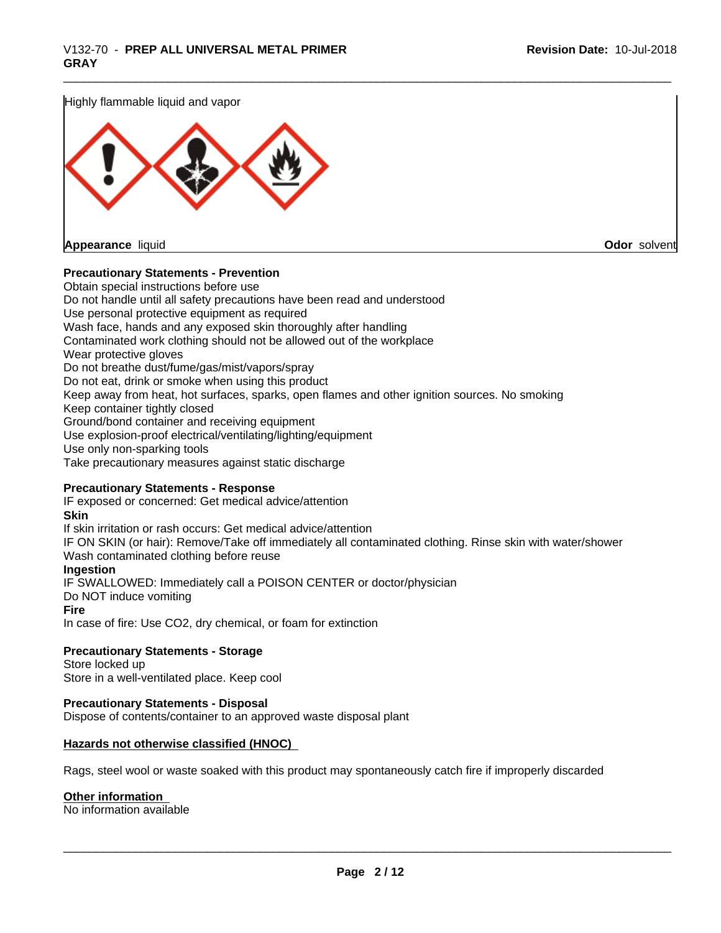Highly flammable liquid and vapor



**Appearance** liquid **Odor** solvent

### **Precautionary Statements - Prevention**

Obtain special instructions before use Do not handle until all safety precautions have been read and understood Use personal protective equipment as required Wash face, hands and any exposed skin thoroughly after handling Contaminated work clothing should not be allowed out of the workplace Wear protective gloves Do not breathe dust/fume/gas/mist/vapors/spray Do not eat, drink or smoke when using this product Keep away from heat, hot surfaces, sparks, open flames and other ignition sources. No smoking Keep container tightly closed Ground/bond container and receiving equipment Use explosion-proof electrical/ventilating/lighting/equipment Use only non-sparking tools Take precautionary measures against static discharge

#### **Precautionary Statements - Response**

IF exposed or concerned: Get medical advice/attention **Skin** If skin irritation or rash occurs: Get medical advice/attention IF ON SKIN (or hair): Remove/Take off immediately all contaminated clothing. Rinse skin with water/shower Wash contaminated clothing before reuse **Ingestion** IF SWALLOWED: Immediately call a POISON CENTER or doctor/physician Do NOT induce vomiting **Fire** In case of fire: Use CO2, dry chemical, or foam for extinction

**Precautionary Statements - Storage** Store locked up

Store in a well-ventilated place. Keep cool

## **Precautionary Statements - Disposal**

Dispose of contents/container to an approved waste disposal plant

#### **Hazards not otherwise classified (HNOC)**

Rags, steel wool or waste soaked with this product may spontaneously catch fire if improperly discarded

#### **Other information**

No information available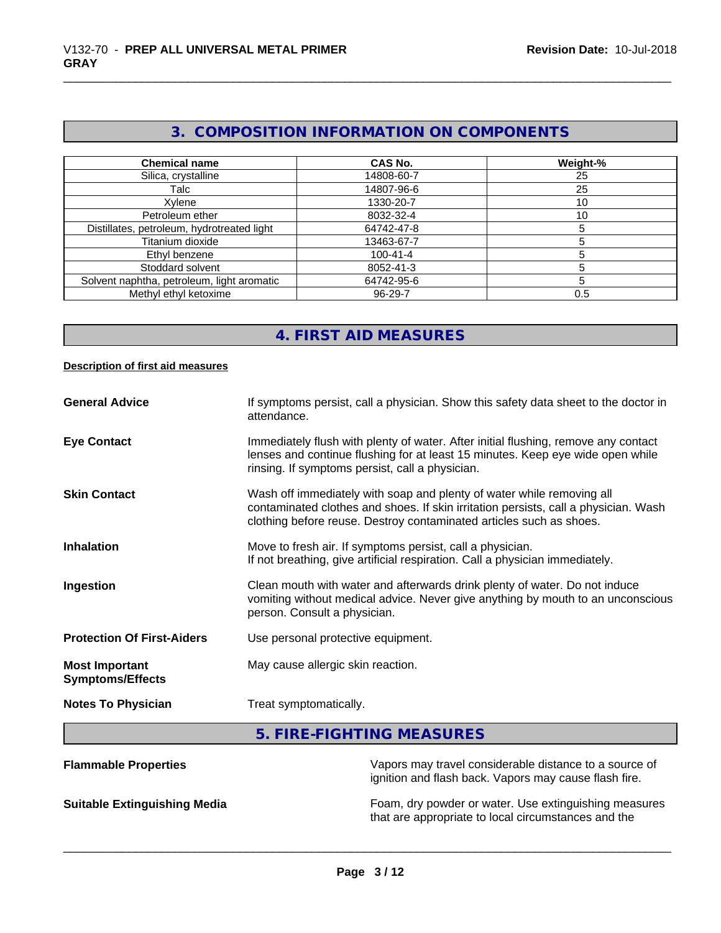# **3. COMPOSITION INFORMATION ON COMPONENTS**

| <b>Chemical name</b>                       | CAS No.        | Weight-% |
|--------------------------------------------|----------------|----------|
| Silica, crystalline                        | 14808-60-7     | 25       |
| Talc                                       | 14807-96-6     | 25       |
| Xylene                                     | 1330-20-7      | 10       |
| Petroleum ether                            | 8032-32-4      | 10       |
| Distillates, petroleum, hydrotreated light | 64742-47-8     |          |
| Titanium dioxide                           | 13463-67-7     |          |
| Ethyl benzene                              | $100 - 41 - 4$ |          |
| Stoddard solvent                           | 8052-41-3      |          |
| Solvent naphtha, petroleum, light aromatic | 64742-95-6     |          |
| Methyl ethyl ketoxime                      | 96-29-7        | 0.5      |

# **4. FIRST AID MEASURES**

### **Description of first aid measures**

| <b>General Advice</b>                            | If symptoms persist, call a physician. Show this safety data sheet to the doctor in<br>attendance.                                                                                                                                  |
|--------------------------------------------------|-------------------------------------------------------------------------------------------------------------------------------------------------------------------------------------------------------------------------------------|
| <b>Eye Contact</b>                               | Immediately flush with plenty of water. After initial flushing, remove any contact<br>lenses and continue flushing for at least 15 minutes. Keep eye wide open while<br>rinsing. If symptoms persist, call a physician.             |
| <b>Skin Contact</b>                              | Wash off immediately with soap and plenty of water while removing all<br>contaminated clothes and shoes. If skin irritation persists, call a physician. Wash<br>clothing before reuse. Destroy contaminated articles such as shoes. |
| <b>Inhalation</b>                                | Move to fresh air. If symptoms persist, call a physician.<br>If not breathing, give artificial respiration. Call a physician immediately.                                                                                           |
| Ingestion                                        | Clean mouth with water and afterwards drink plenty of water. Do not induce<br>vomiting without medical advice. Never give anything by mouth to an unconscious<br>person. Consult a physician.                                       |
| <b>Protection Of First-Aiders</b>                | Use personal protective equipment.                                                                                                                                                                                                  |
| <b>Most Important</b><br><b>Symptoms/Effects</b> | May cause allergic skin reaction.                                                                                                                                                                                                   |
| <b>Notes To Physician</b>                        | Treat symptomatically.                                                                                                                                                                                                              |
|                                                  | 5. FIRE-FIGHTING MEASURES                                                                                                                                                                                                           |
| and with the influence and the                   | Alan ana na arribearal a an abdanabha dhailen a a ta a a arre                                                                                                                                                                       |

| <b>Flammable Properties</b>         | Vapors may travel considerable distance to a source of<br>ignition and flash back. Vapors may cause flash fire. |
|-------------------------------------|-----------------------------------------------------------------------------------------------------------------|
| <b>Suitable Extinguishing Media</b> | Foam, dry powder or water. Use extinguishing measures<br>that are appropriate to local circumstances and the    |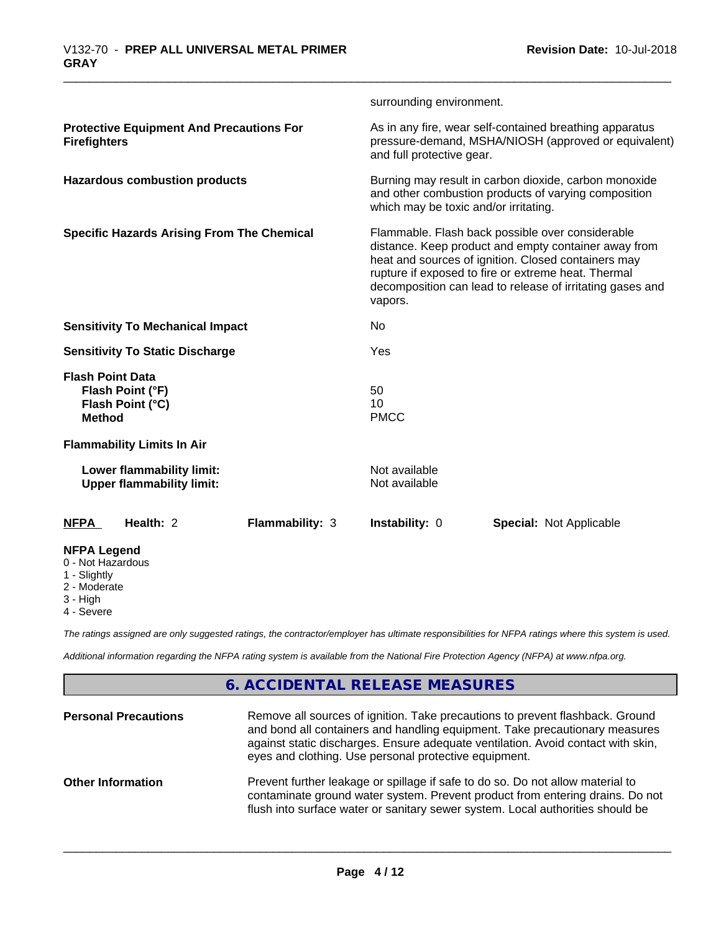|                                                                                  |                 | surrounding environment.                                                                                                                                                                                                                                                                       |                                                                                                                 |  |
|----------------------------------------------------------------------------------|-----------------|------------------------------------------------------------------------------------------------------------------------------------------------------------------------------------------------------------------------------------------------------------------------------------------------|-----------------------------------------------------------------------------------------------------------------|--|
| <b>Protective Equipment And Precautions For</b><br><b>Firefighters</b>           |                 | and full protective gear.                                                                                                                                                                                                                                                                      | As in any fire, wear self-contained breathing apparatus<br>pressure-demand, MSHA/NIOSH (approved or equivalent) |  |
| <b>Hazardous combustion products</b>                                             |                 | Burning may result in carbon dioxide, carbon monoxide<br>and other combustion products of varying composition<br>which may be toxic and/or irritating.                                                                                                                                         |                                                                                                                 |  |
| <b>Specific Hazards Arising From The Chemical</b>                                |                 | Flammable. Flash back possible over considerable<br>distance. Keep product and empty container away from<br>heat and sources of ignition. Closed containers may<br>rupture if exposed to fire or extreme heat. Thermal<br>decomposition can lead to release of irritating gases and<br>vapors. |                                                                                                                 |  |
| <b>Sensitivity To Mechanical Impact</b>                                          |                 | No                                                                                                                                                                                                                                                                                             |                                                                                                                 |  |
| <b>Sensitivity To Static Discharge</b>                                           |                 | Yes                                                                                                                                                                                                                                                                                            |                                                                                                                 |  |
| <b>Flash Point Data</b><br>Flash Point (°F)<br>Flash Point (°C)<br><b>Method</b> |                 | 50<br>10<br><b>PMCC</b>                                                                                                                                                                                                                                                                        |                                                                                                                 |  |
| <b>Flammability Limits In Air</b>                                                |                 |                                                                                                                                                                                                                                                                                                |                                                                                                                 |  |
| Lower flammability limit:<br><b>Upper flammability limit:</b>                    |                 | Not available<br>Not available                                                                                                                                                                                                                                                                 |                                                                                                                 |  |
| <b>NFPA</b><br>Health: 2                                                         | Flammability: 3 | Instability: 0                                                                                                                                                                                                                                                                                 | <b>Special: Not Applicable</b>                                                                                  |  |
| <b>NFPA Legend</b><br>0 - Not Hazardous<br>1 - Slightly                          |                 |                                                                                                                                                                                                                                                                                                |                                                                                                                 |  |

2 - Moderate

3 - High

4 - Severe

*The ratings assigned are only suggested ratings, the contractor/employer has ultimate responsibilities for NFPA ratings where this system is used.*

*Additional information regarding the NFPA rating system is available from the National Fire Protection Agency (NFPA) at www.nfpa.org.*

# **6. ACCIDENTAL RELEASE MEASURES**

| <b>Personal Precautions</b> | Remove all sources of ignition. Take precautions to prevent flashback. Ground<br>and bond all containers and handling equipment. Take precautionary measures<br>against static discharges. Ensure adequate ventilation. Avoid contact with skin,<br>eyes and clothing. Use personal protective equipment. |
|-----------------------------|-----------------------------------------------------------------------------------------------------------------------------------------------------------------------------------------------------------------------------------------------------------------------------------------------------------|
| <b>Other Information</b>    | Prevent further leakage or spillage if safe to do so. Do not allow material to<br>contaminate ground water system. Prevent product from entering drains. Do not<br>flush into surface water or sanitary sewer system. Local authorities should be                                                         |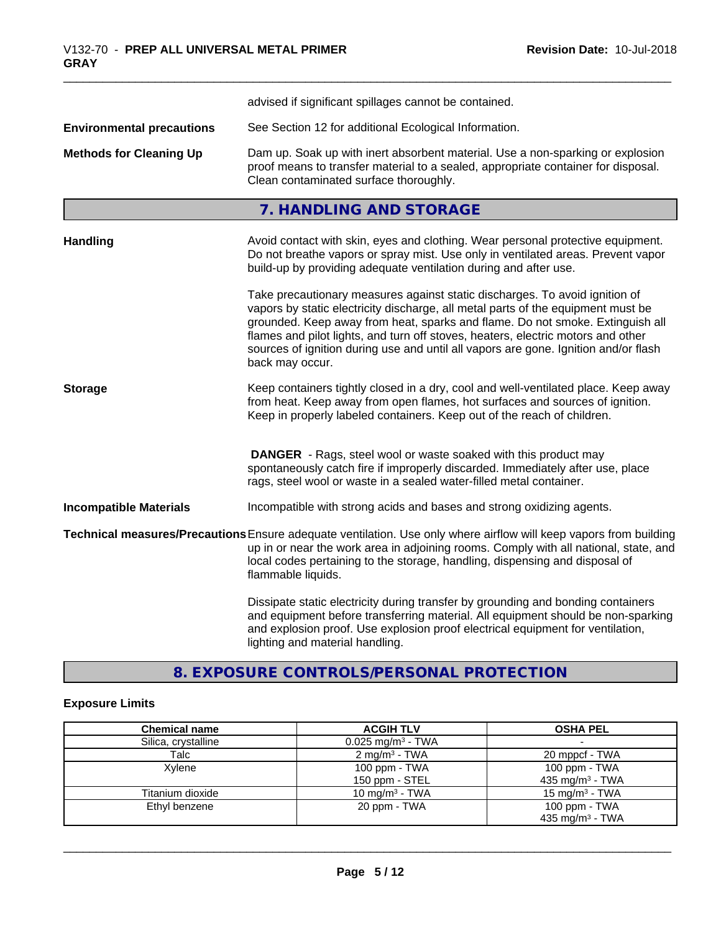|                                  | advised if significant spillages cannot be contained.                                                                                                                                                                                                                                                                                                                                                                                          |
|----------------------------------|------------------------------------------------------------------------------------------------------------------------------------------------------------------------------------------------------------------------------------------------------------------------------------------------------------------------------------------------------------------------------------------------------------------------------------------------|
| <b>Environmental precautions</b> | See Section 12 for additional Ecological Information.                                                                                                                                                                                                                                                                                                                                                                                          |
| <b>Methods for Cleaning Up</b>   | Dam up. Soak up with inert absorbent material. Use a non-sparking or explosion<br>proof means to transfer material to a sealed, appropriate container for disposal.<br>Clean contaminated surface thoroughly.                                                                                                                                                                                                                                  |
|                                  | 7. HANDLING AND STORAGE                                                                                                                                                                                                                                                                                                                                                                                                                        |
| <b>Handling</b>                  | Avoid contact with skin, eyes and clothing. Wear personal protective equipment.<br>Do not breathe vapors or spray mist. Use only in ventilated areas. Prevent vapor<br>build-up by providing adequate ventilation during and after use.                                                                                                                                                                                                        |
|                                  | Take precautionary measures against static discharges. To avoid ignition of<br>vapors by static electricity discharge, all metal parts of the equipment must be<br>grounded. Keep away from heat, sparks and flame. Do not smoke. Extinguish all<br>flames and pilot lights, and turn off stoves, heaters, electric motors and other<br>sources of ignition during use and until all vapors are gone. Ignition and/or flash<br>back may occur. |
| <b>Storage</b>                   | Keep containers tightly closed in a dry, cool and well-ventilated place. Keep away<br>from heat. Keep away from open flames, hot surfaces and sources of ignition.<br>Keep in properly labeled containers. Keep out of the reach of children.                                                                                                                                                                                                  |
|                                  | <b>DANGER</b> - Rags, steel wool or waste soaked with this product may<br>spontaneously catch fire if improperly discarded. Immediately after use, place<br>rags, steel wool or waste in a sealed water-filled metal container.                                                                                                                                                                                                                |
| <b>Incompatible Materials</b>    | Incompatible with strong acids and bases and strong oxidizing agents.                                                                                                                                                                                                                                                                                                                                                                          |
|                                  | Technical measures/Precautions Ensure adequate ventilation. Use only where airflow will keep vapors from building<br>up in or near the work area in adjoining rooms. Comply with all national, state, and<br>local codes pertaining to the storage, handling, dispensing and disposal of<br>flammable liquids.                                                                                                                                 |
|                                  | Dissipate static electricity during transfer by grounding and bonding containers<br>and equipment before transferring material. All equipment should be non-sparking<br>and explosion proof. Use explosion proof electrical equipment for ventilation,<br>lighting and material handling.                                                                                                                                                      |

# **8. EXPOSURE CONTROLS/PERSONAL PROTECTION**

# **Exposure Limits**

| <b>Chemical name</b> | <b>ACGIH TLV</b>                | <b>OSHA PEL</b>             |
|----------------------|---------------------------------|-----------------------------|
| Silica, crystalline  | $0.025$ mg/m <sup>3</sup> - TWA |                             |
| Talc                 | $2 \text{ mg/m}^3$ - TWA        | 20 mppcf - TWA              |
| Xvlene               | 100 ppm - TWA                   | 100 ppm - TWA               |
|                      | 150 ppm - STEL                  | 435 mg/m <sup>3</sup> - TWA |
| Titanium dioxide     | 10 mg/m <sup>3</sup> - TWA      | 15 mg/m $3$ - TWA           |
| Ethyl benzene        | 20 ppm - TWA                    | 100 ppm - TWA               |
|                      |                                 | 435 mg/m <sup>3</sup> - TWA |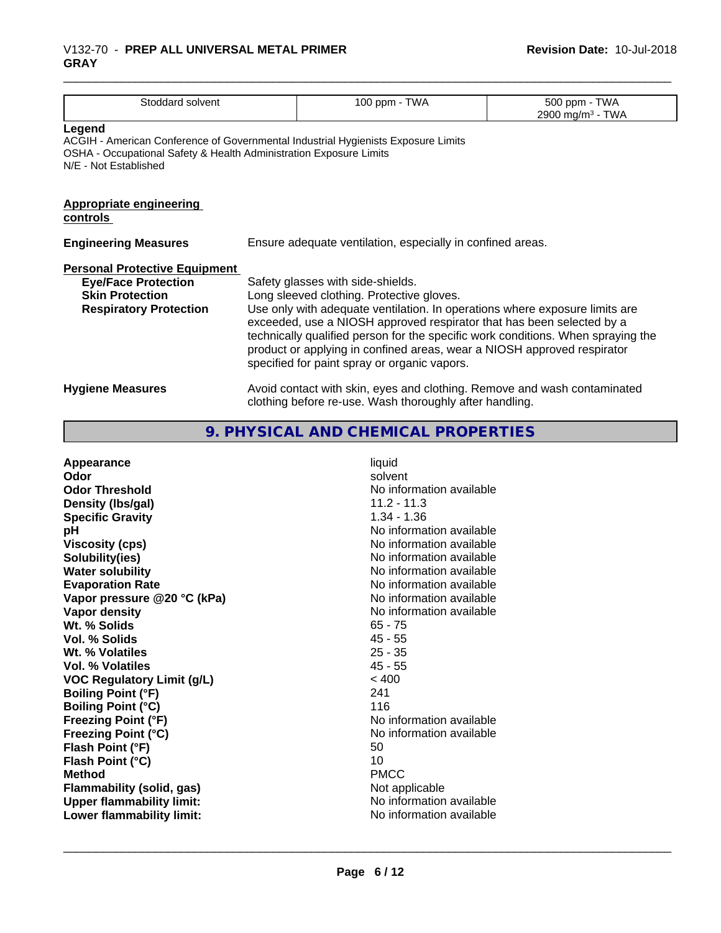## \_\_\_\_\_\_\_\_\_\_\_\_\_\_\_\_\_\_\_\_\_\_\_\_\_\_\_\_\_\_\_\_\_\_\_\_\_\_\_\_\_\_\_\_\_\_\_\_\_\_\_\_\_\_\_\_\_\_\_\_\_\_\_\_\_\_\_\_\_\_\_\_\_\_\_\_\_\_\_\_\_\_\_\_\_\_\_\_\_\_\_\_\_ V132-70 - **PREP ALL UNIVERSAL METAL PRIMER GRAY**

| Stoddard solvent                                                                                                                                                                           |                                                                                                                                                                                                                                                                                                                                                                                                                                                       | 100 ppm - TWA                                                                                                                       | 500 ppm - TWA<br>2900 mg/m <sup>3</sup> - TWA |
|--------------------------------------------------------------------------------------------------------------------------------------------------------------------------------------------|-------------------------------------------------------------------------------------------------------------------------------------------------------------------------------------------------------------------------------------------------------------------------------------------------------------------------------------------------------------------------------------------------------------------------------------------------------|-------------------------------------------------------------------------------------------------------------------------------------|-----------------------------------------------|
| Legend<br>ACGIH - American Conference of Governmental Industrial Hygienists Exposure Limits<br>OSHA - Occupational Safety & Health Administration Exposure Limits<br>N/E - Not Established |                                                                                                                                                                                                                                                                                                                                                                                                                                                       |                                                                                                                                     |                                               |
| <b>Appropriate engineering</b><br>controls                                                                                                                                                 |                                                                                                                                                                                                                                                                                                                                                                                                                                                       |                                                                                                                                     |                                               |
| <b>Engineering Measures</b>                                                                                                                                                                | Ensure adequate ventilation, especially in confined areas.                                                                                                                                                                                                                                                                                                                                                                                            |                                                                                                                                     |                                               |
| <b>Personal Protective Equipment</b><br><b>Eye/Face Protection</b><br><b>Skin Protection</b><br><b>Respiratory Protection</b>                                                              | Safety glasses with side-shields.<br>Long sleeved clothing. Protective gloves.<br>Use only with adequate ventilation. In operations where exposure limits are<br>exceeded, use a NIOSH approved respirator that has been selected by a<br>technically qualified person for the specific work conditions. When spraying the<br>product or applying in confined areas, wear a NIOSH approved respirator<br>specified for paint spray or organic vapors. |                                                                                                                                     |                                               |
| <b>Hygiene Measures</b>                                                                                                                                                                    |                                                                                                                                                                                                                                                                                                                                                                                                                                                       | Avoid contact with skin, eyes and clothing. Remove and wash contaminated<br>clothing before re-use. Wash thoroughly after handling. |                                               |

# **9. PHYSICAL AND CHEMICAL PROPERTIES**

| Appearance<br>Odor<br><b>Odor Threshold</b>  | liquid<br>solvent<br>No information available<br>$11.2 - 11.3$ |
|----------------------------------------------|----------------------------------------------------------------|
| Density (Ibs/gal)<br><b>Specific Gravity</b> | $1.34 - 1.36$                                                  |
| рH                                           | No information available                                       |
| <b>Viscosity (cps)</b>                       | No information available                                       |
| Solubility(ies)                              | No information available                                       |
| <b>Water solubility</b>                      | No information available                                       |
| <b>Evaporation Rate</b>                      | No information available                                       |
| Vapor pressure @20 °C (kPa)                  | No information available                                       |
| Vapor density                                | No information available                                       |
| Wt. % Solids                                 | $65 - 75$                                                      |
| Vol. % Solids                                | $45 - 55$                                                      |
| Wt. % Volatiles                              | $25 - 35$                                                      |
| Vol. % Volatiles                             | $45 - 55$                                                      |
| <b>VOC Regulatory Limit (g/L)</b>            | < 400                                                          |
| <b>Boiling Point (°F)</b>                    | 241                                                            |
| <b>Boiling Point (°C)</b>                    | 116                                                            |
| <b>Freezing Point (°F)</b>                   | No information available                                       |
| <b>Freezing Point (°C)</b>                   | No information available                                       |
| Flash Point (°F)                             | 50                                                             |
| Flash Point (°C)                             | 10                                                             |
| <b>Method</b>                                | <b>PMCC</b>                                                    |
| Flammability (solid, gas)                    | Not applicable                                                 |
| <b>Upper flammability limit:</b>             | No information available                                       |
| Lower flammability limit:                    | No information available                                       |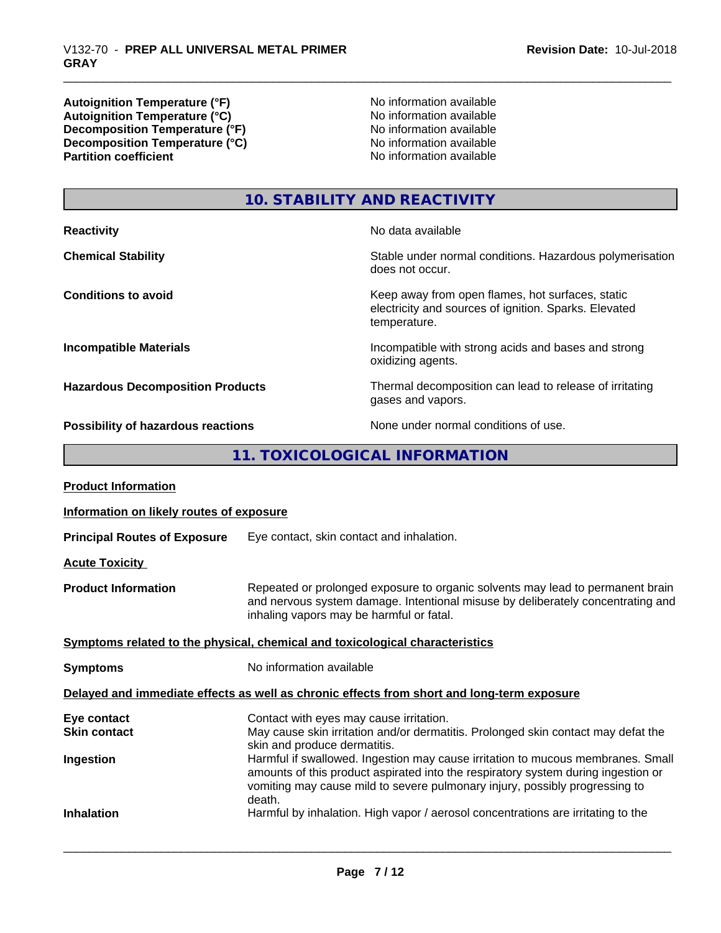**Autoignition Temperature (°F)**<br> **Autoignition Temperature (°C)**<br> **Autoignition Temperature (°C)**<br> **Autoignition Temperature (°C)** Autoignition **Temperature** (°C) Mo information available<br>Decomposition **Temperature** (°F) No information available **Decomposition Temperature (°F)**<br> **Decomposition Temperature (°C)**<br>
No information available<br>
No information available **Decomposition Temperature**  $\hat{c}$ **<sup>o</sup>C**)<br>**Partition coefficient** 

**No information available** 

# **10. STABILITY AND REACTIVITY**

| <b>Reactivity</b>                       | No data available                                                                                                         |
|-----------------------------------------|---------------------------------------------------------------------------------------------------------------------------|
| <b>Chemical Stability</b>               | Stable under normal conditions. Hazardous polymerisation<br>does not occur.                                               |
| <b>Conditions to avoid</b>              | Keep away from open flames, hot surfaces, static<br>electricity and sources of ignition. Sparks. Elevated<br>temperature. |
| <b>Incompatible Materials</b>           | Incompatible with strong acids and bases and strong<br>oxidizing agents.                                                  |
| <b>Hazardous Decomposition Products</b> | Thermal decomposition can lead to release of irritating<br>gases and vapors.                                              |
|                                         | Albana - Albana and albana Milana alba                                                                                    |

**Possibility of hazardous reactions** None under normal conditions of use.

**11. TOXICOLOGICAL INFORMATION**

| <b>Product Information</b>               |                                                                                                                                                                                                                                                               |
|------------------------------------------|---------------------------------------------------------------------------------------------------------------------------------------------------------------------------------------------------------------------------------------------------------------|
| Information on likely routes of exposure |                                                                                                                                                                                                                                                               |
| <b>Principal Routes of Exposure</b>      | Eye contact, skin contact and inhalation.                                                                                                                                                                                                                     |
| <b>Acute Toxicity</b>                    |                                                                                                                                                                                                                                                               |
| <b>Product Information</b>               | Repeated or prolonged exposure to organic solvents may lead to permanent brain<br>and nervous system damage. Intentional misuse by deliberately concentrating and<br>inhaling vapors may be harmful or fatal.                                                 |
|                                          | Symptoms related to the physical, chemical and toxicological characteristics                                                                                                                                                                                  |
| <b>Symptoms</b>                          | No information available                                                                                                                                                                                                                                      |
|                                          | Delayed and immediate effects as well as chronic effects from short and long-term exposure                                                                                                                                                                    |
| Eye contact                              | Contact with eyes may cause irritation.                                                                                                                                                                                                                       |
| <b>Skin contact</b>                      | May cause skin irritation and/or dermatitis. Prolonged skin contact may defat the<br>skin and produce dermatitis.                                                                                                                                             |
| Ingestion                                | Harmful if swallowed. Ingestion may cause irritation to mucous membranes. Small<br>amounts of this product aspirated into the respiratory system during ingestion or<br>vomiting may cause mild to severe pulmonary injury, possibly progressing to<br>death. |
| <b>Inhalation</b>                        | Harmful by inhalation. High vapor / aerosol concentrations are irritating to the                                                                                                                                                                              |
|                                          |                                                                                                                                                                                                                                                               |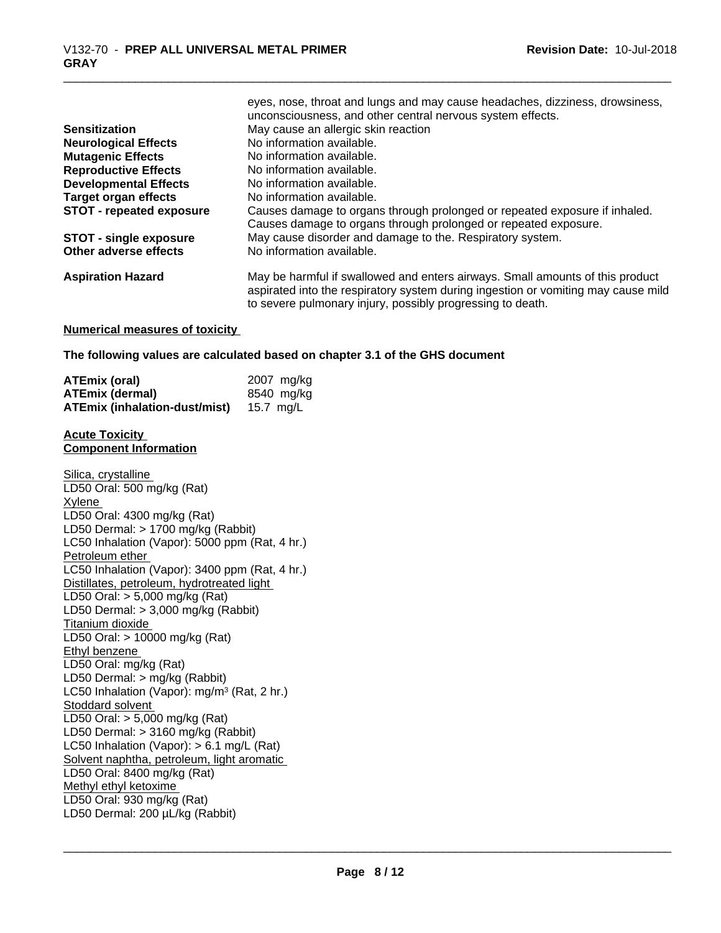|                                 | eyes, nose, throat and lungs and may cause headaches, dizziness, drowsiness,<br>unconsciousness, and other central nervous system effects.                                                                                       |
|---------------------------------|----------------------------------------------------------------------------------------------------------------------------------------------------------------------------------------------------------------------------------|
| <b>Sensitization</b>            | May cause an allergic skin reaction                                                                                                                                                                                              |
| <b>Neurological Effects</b>     | No information available.                                                                                                                                                                                                        |
| <b>Mutagenic Effects</b>        | No information available.                                                                                                                                                                                                        |
| <b>Reproductive Effects</b>     | No information available.                                                                                                                                                                                                        |
| <b>Developmental Effects</b>    | No information available.                                                                                                                                                                                                        |
| <b>Target organ effects</b>     | No information available.                                                                                                                                                                                                        |
| <b>STOT - repeated exposure</b> | Causes damage to organs through prolonged or repeated exposure if inhaled.                                                                                                                                                       |
|                                 | Causes damage to organs through prolonged or repeated exposure.                                                                                                                                                                  |
| <b>STOT - single exposure</b>   | May cause disorder and damage to the. Respiratory system.                                                                                                                                                                        |
| Other adverse effects           | No information available.                                                                                                                                                                                                        |
| <b>Aspiration Hazard</b>        | May be harmful if swallowed and enters airways. Small amounts of this product<br>aspirated into the respiratory system during ingestion or vomiting may cause mild<br>to severe pulmonary injury, possibly progressing to death. |

#### **Numerical measures of toxicity**

**The following values are calculated based on chapter 3.1 of the GHS document**

| <b>ATEmix (oral)</b>          | 2007 mg/kg |
|-------------------------------|------------|
| <b>ATEmix (dermal)</b>        | 8540 mg/ka |
| ATEmix (inhalation-dust/mist) | 15.7 ma/L  |

#### **Acute Toxicity Component Information**

Silica, crystalline LD50 Oral: 500 mg/kg (Rat) Xylene LD50 Oral: 4300 mg/kg (Rat) LD50 Dermal: > 1700 mg/kg (Rabbit) LC50 Inhalation (Vapor): 5000 ppm (Rat, 4 hr.) Petroleum ether LC50 Inhalation (Vapor): 3400 ppm (Rat, 4 hr.) Distillates, petroleum, hydrotreated light LD50 Oral: > 5,000 mg/kg (Rat) LD50 Dermal: > 3,000 mg/kg (Rabbit) Titanium dioxide LD50 Oral: > 10000 mg/kg (Rat) Ethyl benzene LD50 Oral: mg/kg (Rat) LD50 Dermal: > mg/kg (Rabbit) LC50 Inhalation (Vapor): mg/m<sup>3</sup> (Rat, 2 hr.) Stoddard solvent LD50 Oral: > 5,000 mg/kg (Rat) LD50 Dermal: > 3160 mg/kg (Rabbit) LC50 Inhalation (Vapor): > 6.1 mg/L (Rat) Solvent naphtha, petroleum, light aromatic LD50 Oral: 8400 mg/kg (Rat) Methyl ethyl ketoxime LD50 Oral: 930 mg/kg (Rat) LD50 Dermal: 200 µL/kg (Rabbit)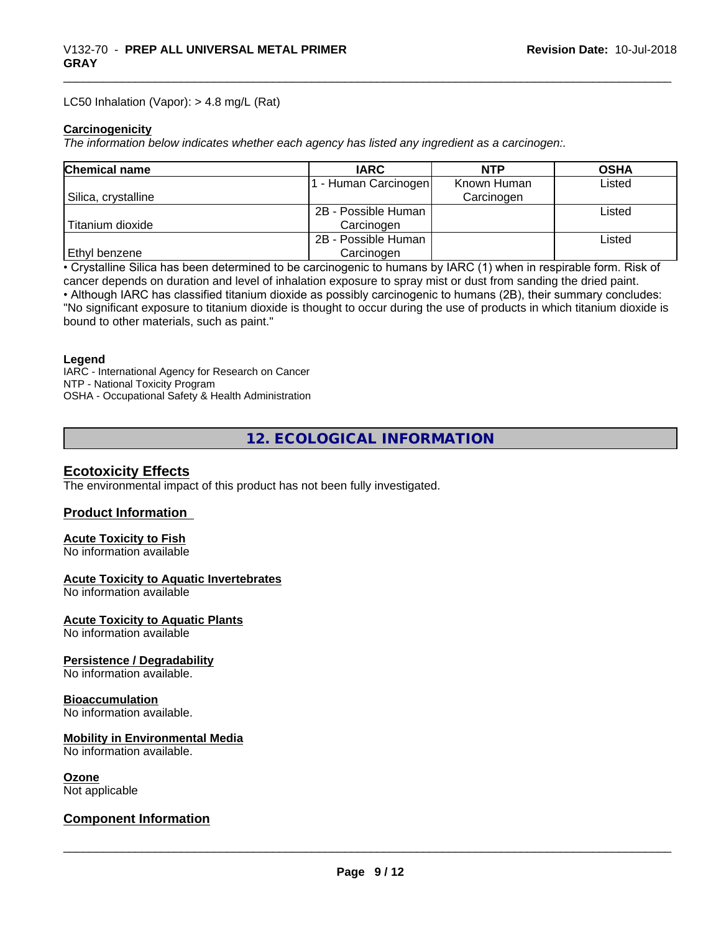#### LC50 Inhalation (Vapor): > 4.8 mg/L (Rat)

#### **Carcinogenicity**

*The information below indicateswhether each agency has listed any ingredient as a carcinogen:.*

| <b>Chemical name</b> | <b>IARC</b>         | <b>NTP</b>  | <b>OSHA</b> |
|----------------------|---------------------|-------------|-------------|
|                      | - Human Carcinogen  | Known Human | Listed      |
| Silica, crystalline  |                     | Carcinogen  |             |
|                      | 2B - Possible Human |             | Listed      |
| Titanium dioxide     | Carcinogen          |             |             |
|                      | 2B - Possible Human |             | Listed      |
| <b>Ethyl benzene</b> | Carcinogen          |             |             |

• Crystalline Silica has been determined to be carcinogenic to humans by IARC (1) when in respirable form. Risk of cancer depends on duration and level of inhalation exposure to spray mist or dust from sanding the dried paint.

• Although IARC has classified titanium dioxide as possibly carcinogenic to humans (2B), their summary concludes: "No significant exposure to titanium dioxide is thought to occur during the use of products in which titanium dioxide is bound to other materials, such as paint."

#### **Legend**

IARC - International Agency for Research on Cancer NTP - National Toxicity Program OSHA - Occupational Safety & Health Administration

**12. ECOLOGICAL INFORMATION**

## **Ecotoxicity Effects**

The environmental impact of this product has not been fully investigated.

#### **Product Information**

# **Acute Toxicity to Fish**

No information available

#### **Acute Toxicity to Aquatic Invertebrates**

No information available

#### **Acute Toxicity to Aquatic Plants**

No information available

## **Persistence / Degradability**

No information available.

# **Bioaccumulation**

No information available.

# **Mobility in Environmental Media**

No information available.

# **Ozone**

Not applicable

# **Component Information**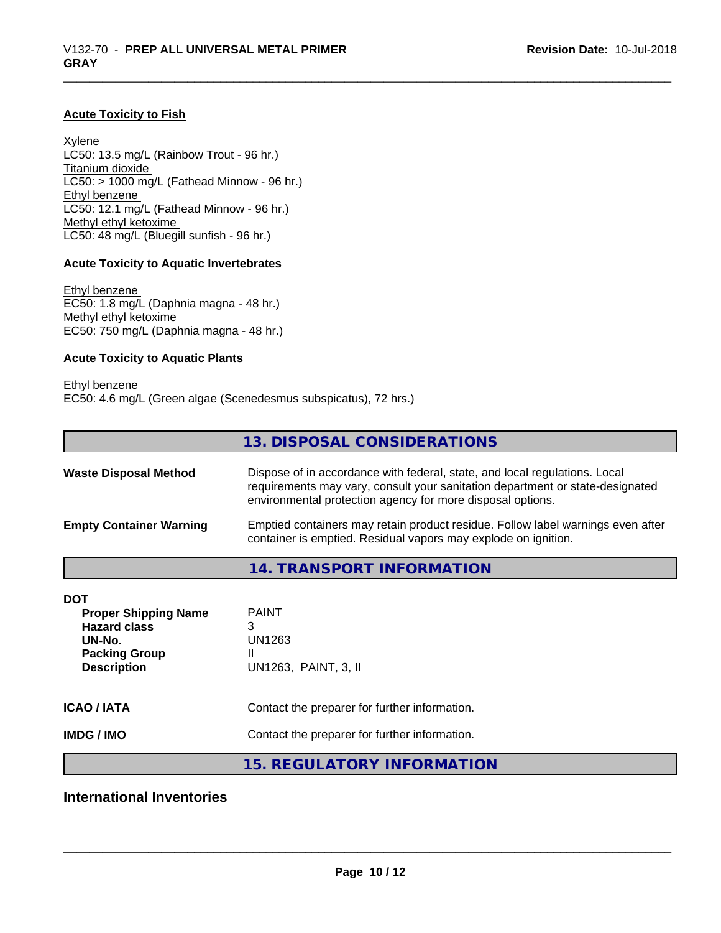### **Acute Toxicity to Fish**

Xylene LC50: 13.5 mg/L (Rainbow Trout - 96 hr.) Titanium dioxide  $LC50: > 1000$  mg/L (Fathead Minnow - 96 hr.) Ethyl benzene LC50: 12.1 mg/L (Fathead Minnow - 96 hr.) Methyl ethyl ketoxime LC50: 48 mg/L (Bluegill sunfish - 96 hr.)

#### **Acute Toxicity to Aquatic Invertebrates**

Ethyl benzene EC50: 1.8 mg/L (Daphnia magna - 48 hr.) Methyl ethyl ketoxime EC50: 750 mg/L (Daphnia magna - 48 hr.)

#### **Acute Toxicity to Aquatic Plants**

Ethyl benzene EC50: 4.6 mg/L (Green algae (Scenedesmus subspicatus), 72 hrs.)

|                                | 13. DISPOSAL CONSIDERATIONS                                                                                                                                                                                               |
|--------------------------------|---------------------------------------------------------------------------------------------------------------------------------------------------------------------------------------------------------------------------|
| <b>Waste Disposal Method</b>   | Dispose of in accordance with federal, state, and local regulations. Local<br>requirements may vary, consult your sanitation department or state-designated<br>environmental protection agency for more disposal options. |
| <b>Empty Container Warning</b> | Emptied containers may retain product residue. Follow label warnings even after<br>container is emptied. Residual vapors may explode on ignition.                                                                         |
|                                | 14. TRANSPORT INFORMATION                                                                                                                                                                                                 |
| <b>DOT</b>                     |                                                                                                                                                                                                                           |
| <b>Proper Shipping Name</b>    | <b>PAINT</b>                                                                                                                                                                                                              |
| <b>Hazard class</b>            | 3                                                                                                                                                                                                                         |
| UN-No.                         | UN1263                                                                                                                                                                                                                    |
| <b>Packing Group</b>           | Ш                                                                                                                                                                                                                         |
| <b>Description</b>             | UN1263, PAINT, 3, II                                                                                                                                                                                                      |

| <b>ICAO/IATA</b> | Contact the preparer for further information. |
|------------------|-----------------------------------------------|
|------------------|-----------------------------------------------|

**IMDG / IMO** Contact the preparer for further information.

**15. REGULATORY INFORMATION**

**International Inventories**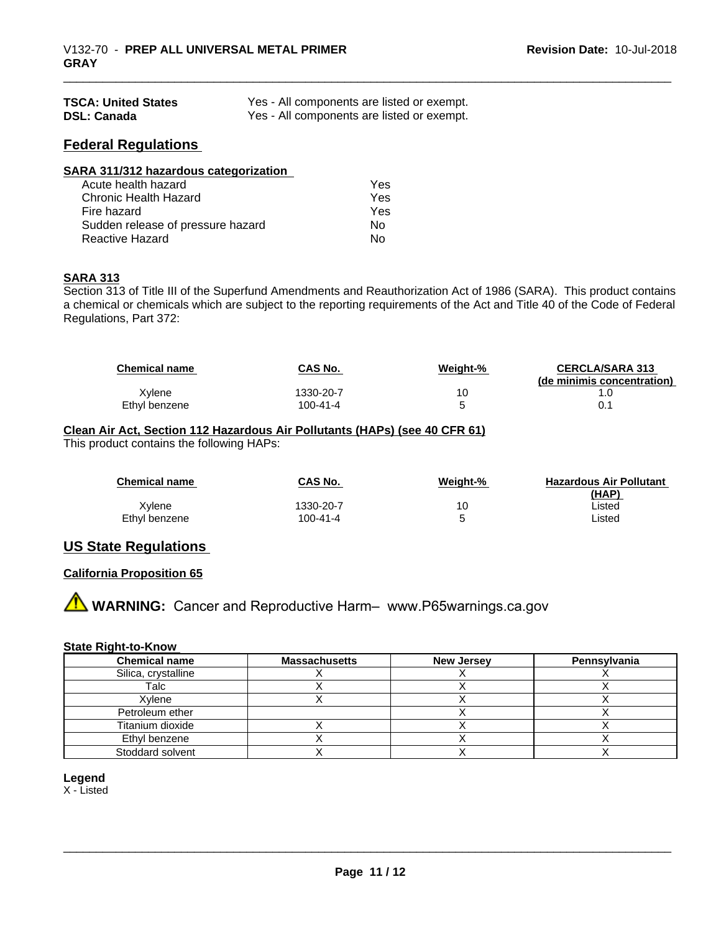| <b>TSCA: United States</b> | Yes - All components are listed or exempt. |
|----------------------------|--------------------------------------------|
| <b>DSL: Canada</b>         | Yes - All components are listed or exempt. |

# **Federal Regulations**

| SARA 311/312 hazardous categorization |     |  |
|---------------------------------------|-----|--|
| Acute health hazard                   | Yes |  |
| Chronic Health Hazard                 | Yes |  |
| Fire hazard                           | Yes |  |
| Sudden release of pressure hazard     | Nο  |  |
| <b>Reactive Hazard</b>                | No  |  |

#### **SARA 313**

Section 313 of Title III of the Superfund Amendments and Reauthorization Act of 1986 (SARA). This product contains a chemical or chemicals which are subject to the reporting requirements of the Act and Title 40 of the Code of Federal Regulations, Part 372:

| <b>Chemical name</b> | <b>CAS No.</b> | Weight-% | <b>CERCLA/SARA 313</b><br>(de minimis concentration) |
|----------------------|----------------|----------|------------------------------------------------------|
| Xvlene               | 1330-20-7      | 10       |                                                      |
| Ethyl benzene        | 100-41-4       |          | 0.                                                   |

### **Clean Air Act,Section 112 Hazardous Air Pollutants (HAPs) (see 40 CFR 61)** This product contains the following HAPs:

| <b>Chemical name</b> | CAS No.   | Weight-% | <b>Hazardous Air Pollutant</b><br>(HAP) |
|----------------------|-----------|----------|-----------------------------------------|
| Xvlene               | 1330-20-7 | 10       | ∟isted                                  |
| Ethyl benzene        | 100-41-4  |          | ∟isted                                  |

# **US State Regulations**

## **California Proposition 65**

**A** WARNING: Cancer and Reproductive Harm– www.P65warnings.ca.gov

#### **State Right-to-Know**

| <b>Chemical name</b> | <b>Massachusetts</b> | <b>New Jersey</b> | Pennsylvania |
|----------------------|----------------------|-------------------|--------------|
| Silica, crystalline  |                      |                   |              |
| Talc                 |                      |                   |              |
| Xylene               |                      |                   |              |
| Petroleum ether      |                      |                   |              |
| Titanium dioxide     |                      |                   |              |
| Ethyl benzene        |                      |                   |              |
| Stoddard solvent     |                      |                   |              |

## **Legend**

X - Listed